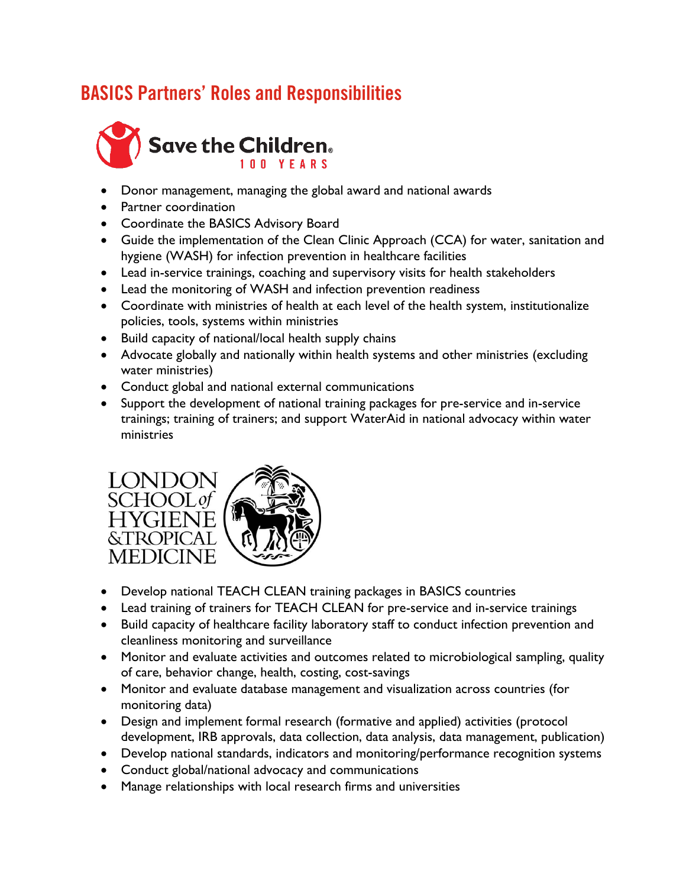## BASICS Partners' Roles and Responsibilities



- Donor management, managing the global award and national awards
- **•** Partner coordination
- Coordinate the BASICS Advisory Board
- Guide the implementation of the Clean Clinic Approach (CCA) for water, sanitation and hygiene (WASH) for infection prevention in healthcare facilities
- Lead in-service trainings, coaching and supervisory visits for health stakeholders
- Lead the monitoring of WASH and infection prevention readiness
- Coordinate with ministries of health at each level of the health system, institutionalize policies, tools, systems within ministries
- Build capacity of national/local health supply chains
- Advocate globally and nationally within health systems and other ministries (excluding water ministries)
- Conduct global and national external communications
- Support the development of national training packages for pre-service and in-service trainings; training of trainers; and support WaterAid in national advocacy within water ministries



- Develop national TEACH CLEAN training packages in BASICS countries
- Lead training of trainers for TEACH CLEAN for pre-service and in-service trainings
- Build capacity of healthcare facility laboratory staff to conduct infection prevention and cleanliness monitoring and surveillance
- Monitor and evaluate activities and outcomes related to microbiological sampling, quality of care, behavior change, health, costing, cost-savings
- Monitor and evaluate database management and visualization across countries (for monitoring data)
- Design and implement formal research (formative and applied) activities (protocol development, IRB approvals, data collection, data analysis, data management, publication)
- Develop national standards, indicators and monitoring/performance recognition systems
- Conduct global/national advocacy and communications
- Manage relationships with local research firms and universities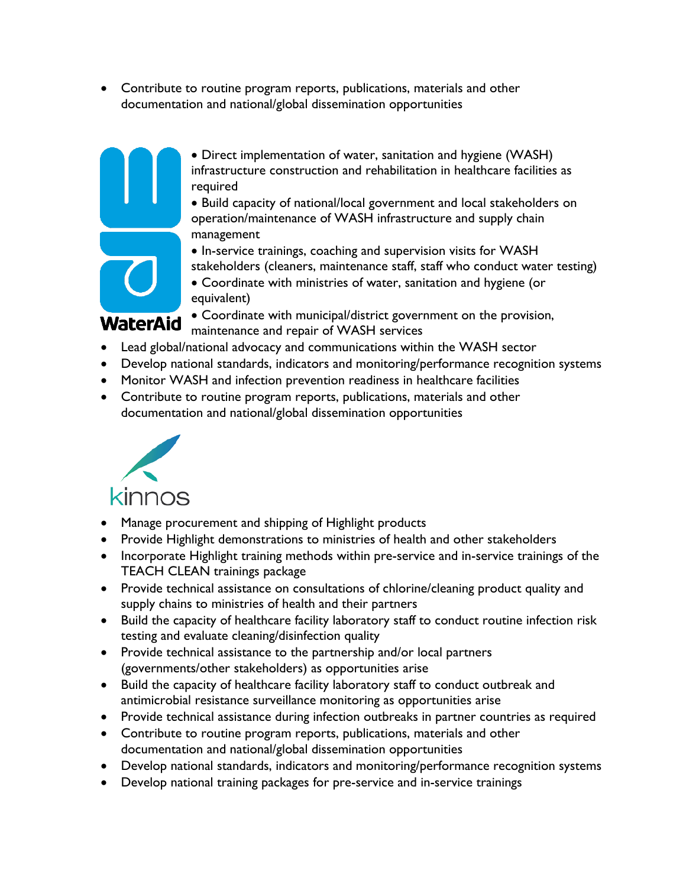Contribute to routine program reports, publications, materials and other documentation and national/global dissemination opportunities



 Direct implementation of water, sanitation and hygiene (WASH) infrastructure construction and rehabilitation in healthcare facilities as required

 Build capacity of national/local government and local stakeholders on operation/maintenance of WASH infrastructure and supply chain management

 $\bullet$  In-service trainings, coaching and supervision visits for WASH stakeholders (cleaners, maintenance staff, staff who conduct water testing)

 Coordinate with ministries of water, sanitation and hygiene (or equivalent)

 Coordinate with municipal/district government on the provision, maintenance and repair of WASH services

- Lead global/national advocacy and communications within the WASH sector
- Develop national standards, indicators and monitoring/performance recognition systems
- Monitor WASH and infection prevention readiness in healthcare facilities
- Contribute to routine program reports, publications, materials and other documentation and national/global dissemination opportunities



- Manage procurement and shipping of Highlight products
- Provide Highlight demonstrations to ministries of health and other stakeholders
- Incorporate Highlight training methods within pre-service and in-service trainings of the TEACH CLEAN trainings package
- Provide technical assistance on consultations of chlorine/cleaning product quality and supply chains to ministries of health and their partners
- Build the capacity of healthcare facility laboratory staff to conduct routine infection risk testing and evaluate cleaning/disinfection quality
- Provide technical assistance to the partnership and/or local partners (governments/other stakeholders) as opportunities arise
- Build the capacity of healthcare facility laboratory staff to conduct outbreak and antimicrobial resistance surveillance monitoring as opportunities arise
- Provide technical assistance during infection outbreaks in partner countries as required
- Contribute to routine program reports, publications, materials and other documentation and national/global dissemination opportunities
- Develop national standards, indicators and monitoring/performance recognition systems
- Develop national training packages for pre-service and in-service trainings